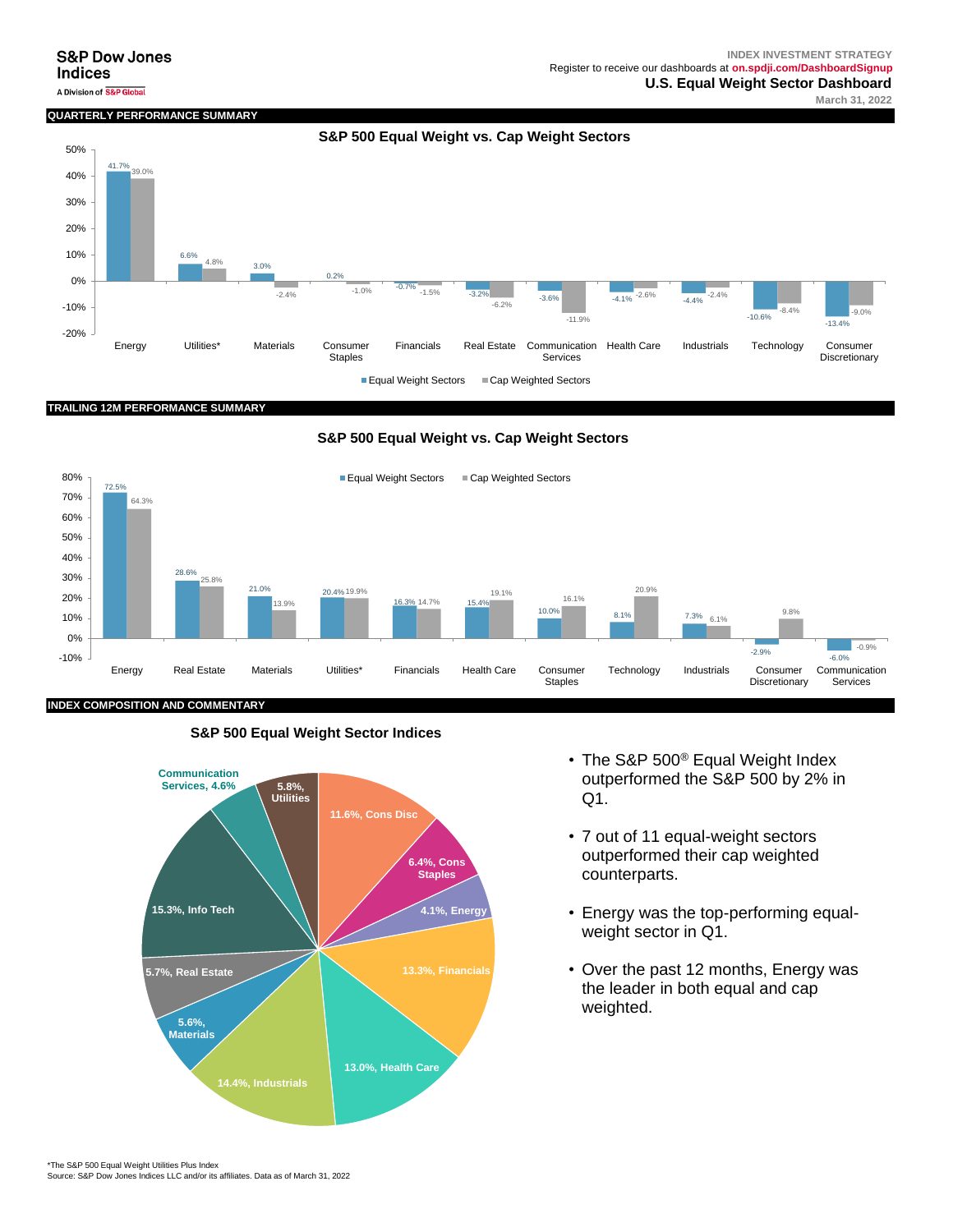#### **S&P Dow Jones Indices**

## **QUARTERLY PERFORMANCE SUMMA**



#### **TRAILING 12M PERFORMANCE SUMMARY**

**S&P 500 Equal Weight vs. Cap Weight Sectors**



# **S&P 500 Equal Weight Sector Indices**



- The S&P 500<sup>®</sup> Equal Weight Index outperformed the S&P 500 by 2% in Q1.
- 7 out of 11 equal-weight sectors outperformed their cap weighted counterparts.
- Energy was the top-performing equalweight sector in Q1.
- Over the past 12 months, Energy was the leader in both equal and cap weighted.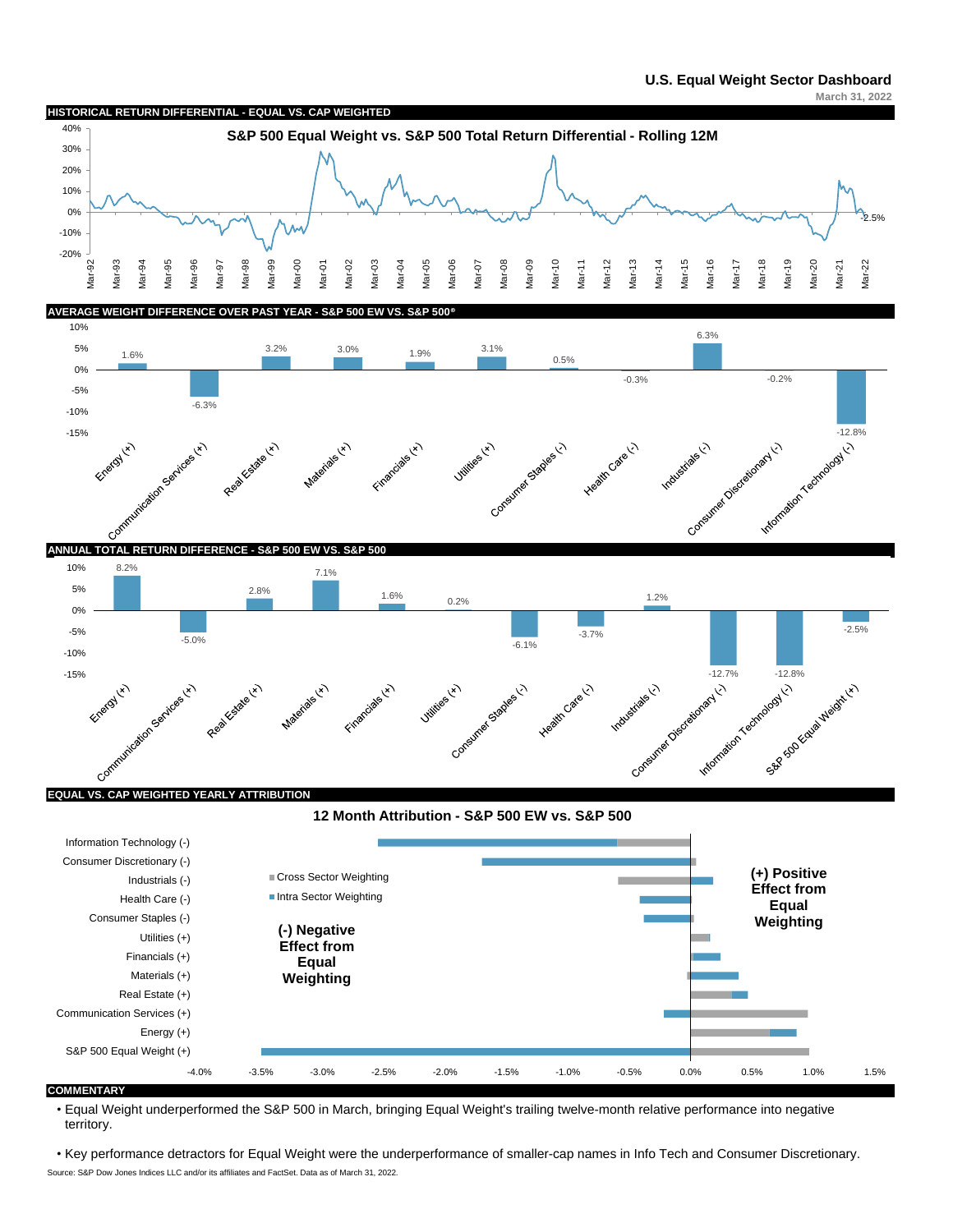



• Equal Weight underperformed the S&P 500 in March, bringing Equal Weight's trailing twelve-month relative performance into negative territory.

Source: S&P Dow Jones Indices LLC and/or its affiliates and FactSet. Data as of March 31, 2022. • Key performance detractors for Equal Weight were the underperformance of smaller-cap names in Info Tech and Consumer Discretionary.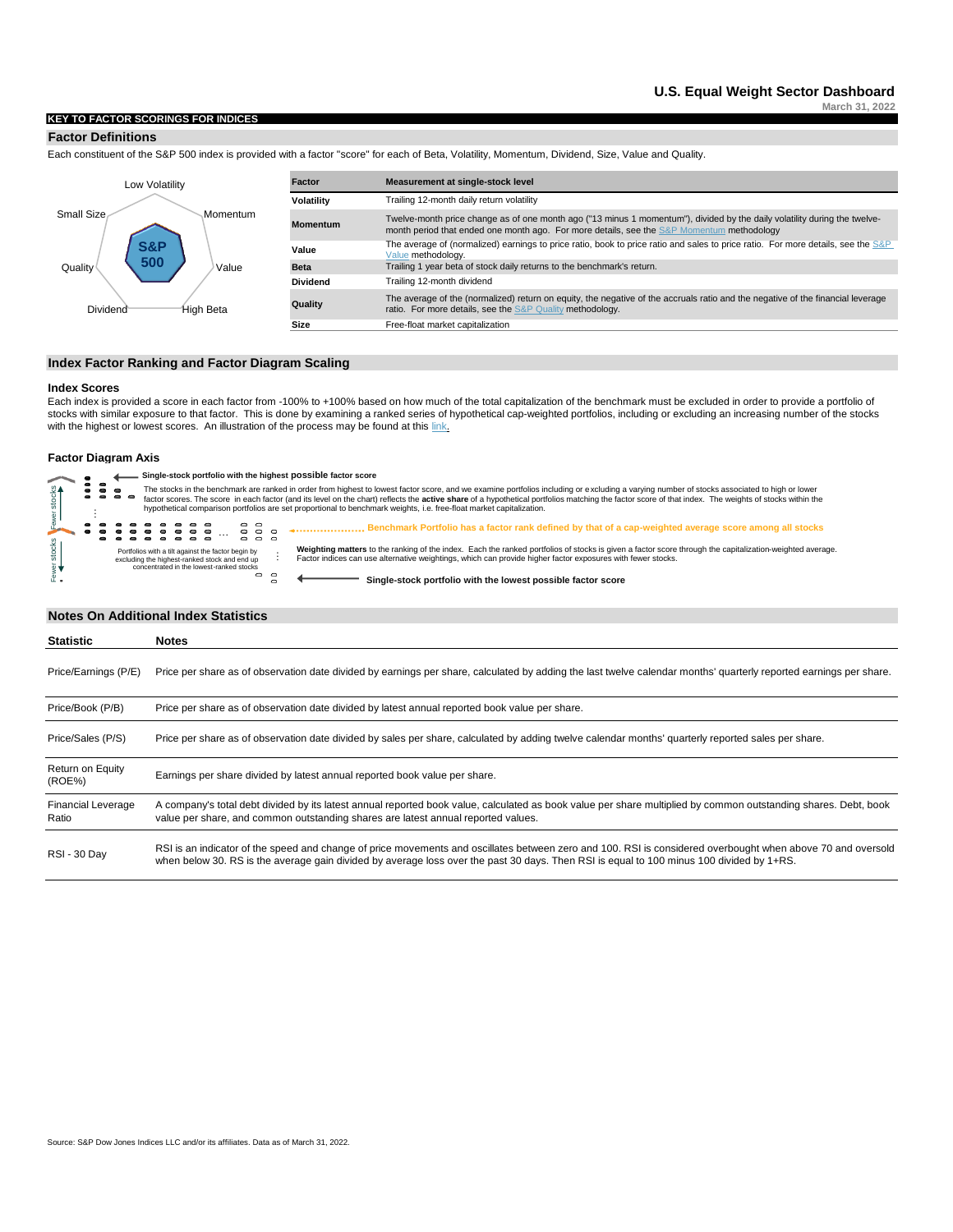#### **KEY TO FACTOR SCORINGS FOR INDICES**

#### **Factor Definitions**

Each constituent of the S&P 500 index is provided with a factor "score" for each of Beta, Volatility, Momentum, Dividend, Size, Value and Quality.



#### **Index Factor Ranking and Factor Diagram Scaling**

#### **Index Scores**

Each index is provided a score in each factor from -100% to +100% based on how much of the total capitalization of the benchmark must be excluded in order to provide a portfolio of stocks with similar exposure to that factor. This is done by examining a ranked series of hypothetical cap-weighted portfolios, including or excluding an increasing number of the stocks with the highest or lowest scores. An illustration of the process may be found at this link.

#### **Factor Diagram Axis**



#### **Notes On Additional Index Statistics**

| <b>Statistic</b>                   | <b>Notes</b>                                                                                                                                                                                                                                                                                            |
|------------------------------------|---------------------------------------------------------------------------------------------------------------------------------------------------------------------------------------------------------------------------------------------------------------------------------------------------------|
| Price/Earnings (P/E)               | Price per share as of observation date divided by earnings per share, calculated by adding the last twelve calendar months' quarterly reported earnings per share.                                                                                                                                      |
| Price/Book (P/B)                   | Price per share as of observation date divided by latest annual reported book value per share.                                                                                                                                                                                                          |
| Price/Sales (P/S)                  | Price per share as of observation date divided by sales per share, calculated by adding twelve calendar months' quarterly reported sales per share.                                                                                                                                                     |
| Return on Equity<br>(ROE%)         | Earnings per share divided by latest annual reported book value per share.                                                                                                                                                                                                                              |
| <b>Financial Leverage</b><br>Ratio | A company's total debt divided by its latest annual reported book value, calculated as book value per share multiplied by common outstanding shares. Debt, book<br>value per share, and common outstanding shares are latest annual reported values.                                                    |
| <b>RSI - 30 Day</b>                | RSI is an indicator of the speed and change of price movements and oscillates between zero and 100. RSI is considered overbought when above 70 and oversold<br>when below 30. RS is the average gain divided by average loss over the past 30 days. Then RSI is equal to 100 minus 100 divided by 1+RS. |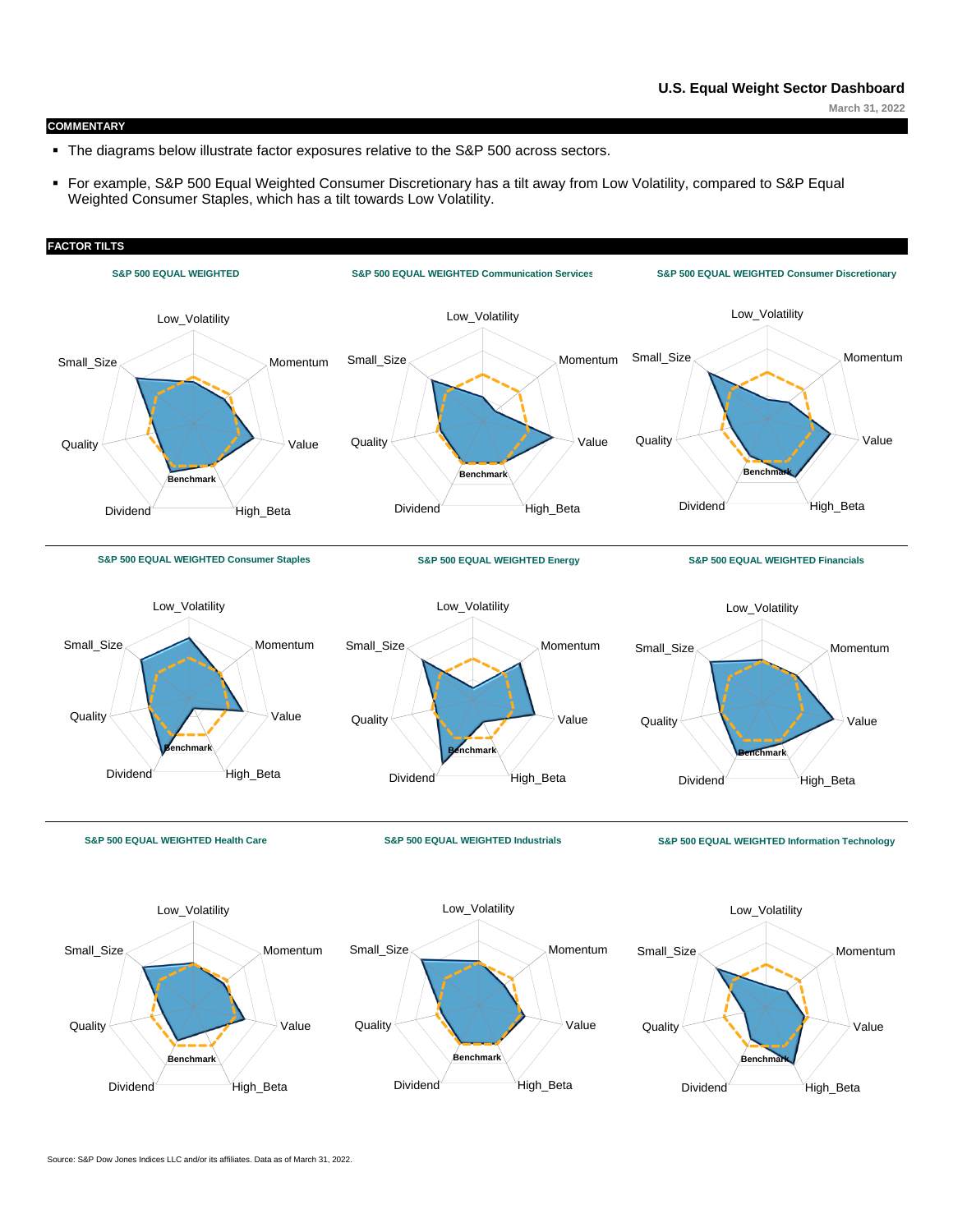**March 31, 2022**

#### **COMMENTARY**

- The diagrams below illustrate factor exposures relative to the S&P 500 across sectors.
- For example, S&P 500 Equal Weighted Consumer Discretionary has a tilt away from Low Volatility, compared to S&P Equal Weighted Consumer Staples, which has a tilt towards Low Volatility.

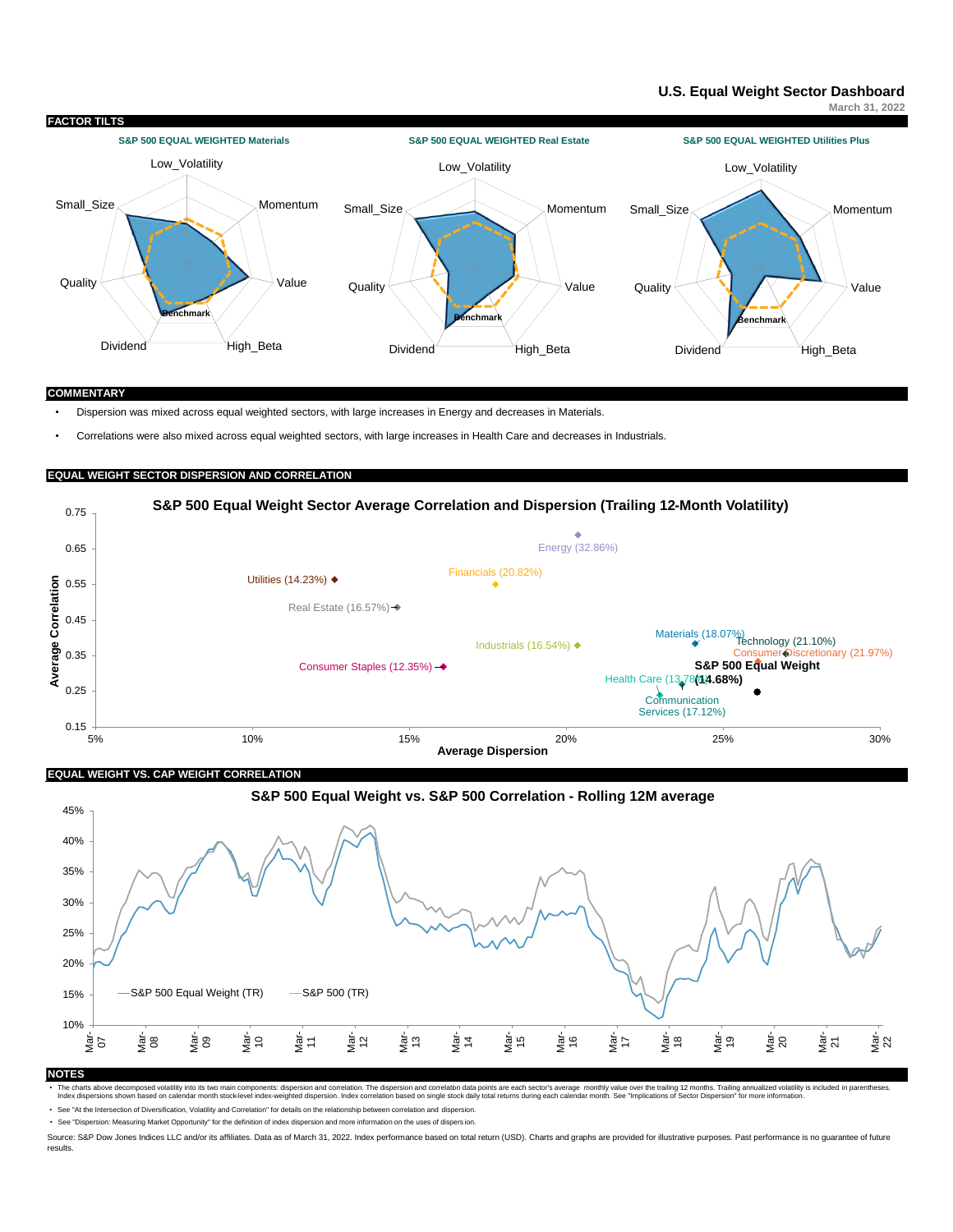# **[U.S. Equal Weight Sector Dashboard](https://www.spglobal.com/spdji/en/documents/performance-reports/dashboard-us-equal-weight-sector.pdf)**

**March 31, 2022**



#### **COMMENTARY**

• Dispersion was mixed across equal weighted sectors, with large increases in Energy and decreases in Materials.

• Correlations were also mixed across equal weighted sectors, with large increases in Health Care and decreases in Industrials.

# **EQUAL WEIGHT SECTOR DISPERSION AND CORRELATION**



**EQUAL WEIGHT VS. CAP WEIGHT CORRELATION**



# The charts above decomposed volatily into the womain components: dispersion and correlation. The dispersion and correlation data points are each seat of the that in parentheses. Index orrelation based on single stock daily

• See ["At the Intersection of Diversification, Volatility and Correlation" for details on the relationship between correlation and dispersion.](http://us.spindices.com/documents/research/research-at-the-intersection-of-diversification-volatility-and-correlation.pdf?src=EWSector)

• See ["Dispersion: Measuring Market Opportunity" for the definition of index dispersion and more information on the uses of dispers](http://us.spindices.com/documents/research/research-dispersion-measuring-market-opportunity.pdf?src=EWSector) ion.

Source: S&P Dow Jones Indices LLC and/or its affiliates. Data as of March 31, 2022. Index performance based on total return (USD). Charts and graphs are provided for illustrative purposes. Past performance is no guarantee results.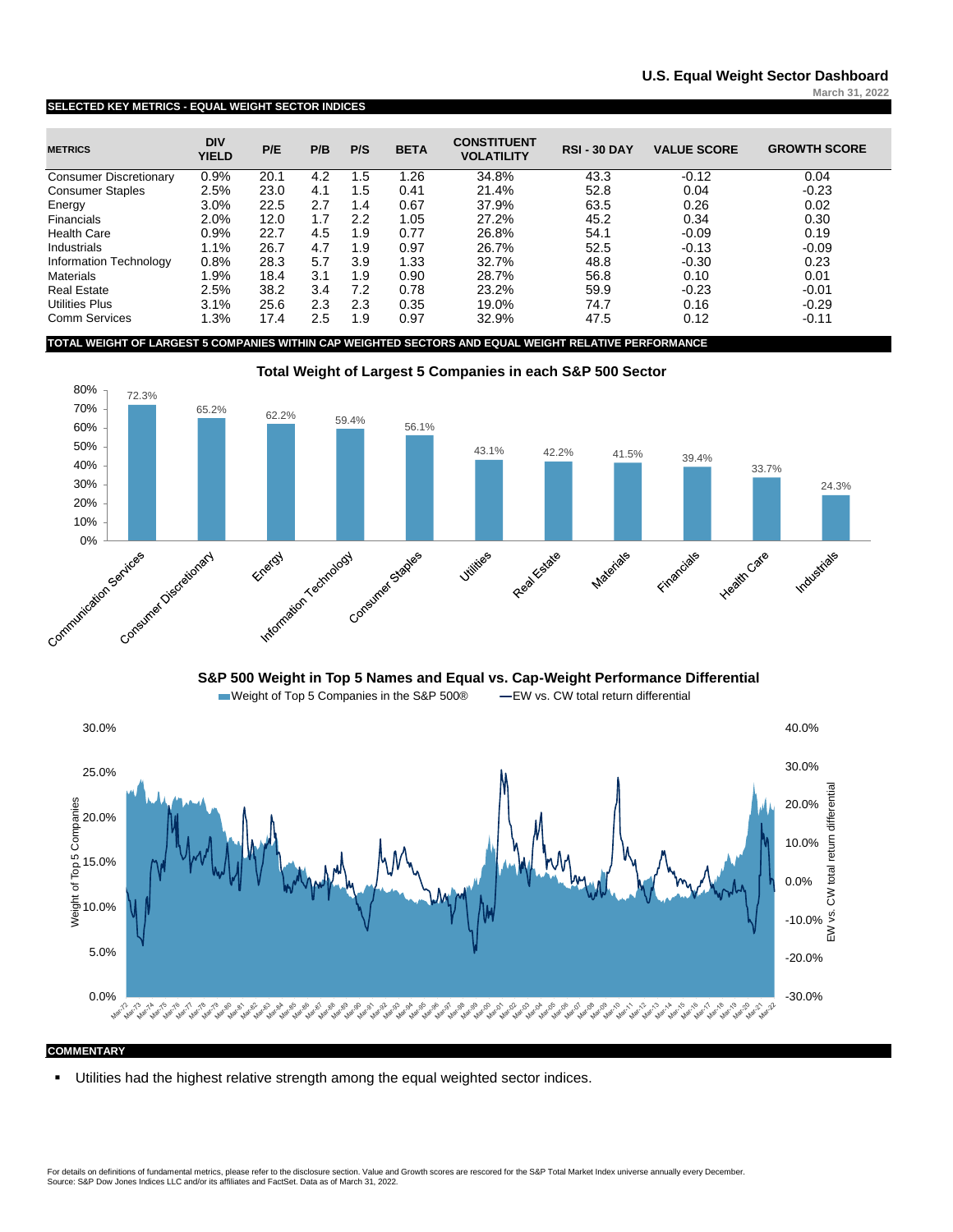#### **SELECTED KEY METRICS - EQUAL WEIGHT SECTOR INDICES**

| <b>METRICS</b>                | <b>DIV</b><br><b>YIELD</b> | P/E  | P/B | P/S | <b>BETA</b> | <b>CONSTITUENT</b><br><b>VOLATILITY</b> | <b>RSI-30 DAY</b> | <b>VALUE SCORE</b> | <b>GROWTH SCORE</b> |
|-------------------------------|----------------------------|------|-----|-----|-------------|-----------------------------------------|-------------------|--------------------|---------------------|
| <b>Consumer Discretionary</b> | 0.9%                       | 20.1 | 4.2 | 1.5 | 1.26        | 34.8%                                   | 43.3              | $-0.12$            | 0.04                |
| <b>Consumer Staples</b>       | 2.5%                       | 23.0 | 4.1 | 1.5 | 0.41        | 21.4%                                   | 52.8              | 0.04               | $-0.23$             |
| Energy                        | 3.0%                       | 22.5 | 2.7 | 1.4 | 0.67        | 37.9%                                   | 63.5              | 0.26               | 0.02                |
| Financials                    | 2.0%                       | 12.0 | 1.7 | 2.2 | 1.05        | 27.2%                                   | 45.2              | 0.34               | 0.30                |
| <b>Health Care</b>            | 0.9%                       | 22.7 | 4.5 | 1.9 | 0.77        | 26.8%                                   | 54.1              | $-0.09$            | 0.19                |
| Industrials                   | 1.1%                       | 26.7 | 4.7 | 1.9 | 0.97        | 26.7%                                   | 52.5              | $-0.13$            | $-0.09$             |
| Information Technology        | 0.8%                       | 28.3 | 5.7 | 3.9 | 1.33        | 32.7%                                   | 48.8              | $-0.30$            | 0.23                |
| <b>Materials</b>              | 1.9%                       | 18.4 | 3.1 | 1.9 | 0.90        | 28.7%                                   | 56.8              | 0.10               | 0.01                |
| <b>Real Estate</b>            | 2.5%                       | 38.2 | 3.4 | 7.2 | 0.78        | 23.2%                                   | 59.9              | $-0.23$            | $-0.01$             |
| <b>Utilities Plus</b>         | 3.1%                       | 25.6 | 2.3 | 2.3 | 0.35        | 19.0%                                   | 74.7              | 0.16               | $-0.29$             |
| <b>Comm Services</b>          | 1.3%                       | 17.4 | 2.5 | 1.9 | 0.97        | 32.9%                                   | 47.5              | 0.12               | $-0.11$             |

**TOTAL WEIGHT OF LARGEST 5 COMPANIES WITHIN CAP WEIGHTED SECTORS AND EQUAL WEIGHT RELATIVE PERFORMANCE**



**S&P 500 Weight in Top 5 Names and Equal vs. Cap-Weight Performance Differential** 



### **COMMENTARY**

▪ Utilities had the highest relative strength among the equal weighted sector indices.